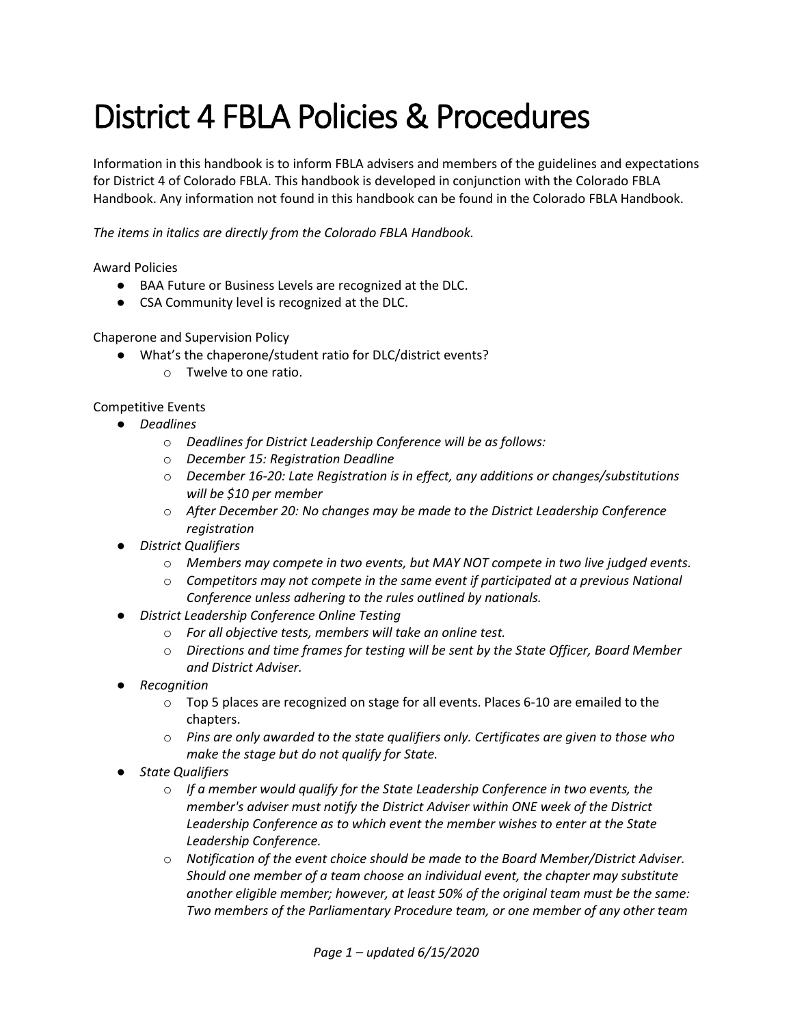## District 4 FBLA Policies & Procedures

Information in this handbook is to inform FBLA advisers and members of the guidelines and expectations for District 4 of Colorado FBLA. This handbook is developed in conjunction with the Colorado FBLA Handbook. Any information not found in this handbook can be found in the Colorado FBLA Handbook.

*The items in italics are directly from the Colorado FBLA Handbook.*

Award Policies

- BAA Future or Business Levels are recognized at the DLC.
- CSA Community level is recognized at the DLC.

Chaperone and Supervision Policy

- What's the chaperone/student ratio for DLC/district events?
	- o Twelve to one ratio.

Competitive Events

- *Deadlines*
	- o *Deadlines for District Leadership Conference will be as follows:*
	- o *December 15: Registration Deadline*
	- o *December 16-20: Late Registration is in effect, any additions or changes/substitutions will be \$10 per member*
	- o *After December 20: No changes may be made to the District Leadership Conference registration*
- *District Qualifiers*
	- o *Members may compete in two events, but MAY NOT compete in two live judged events.*
	- o *Competitors may not compete in the same event if participated at a previous National Conference unless adhering to the rules outlined by nationals.*
- *District Leadership Conference Online Testing* 
	- o *For all objective tests, members will take an online test.*
	- o *Directions and time frames for testing will be sent by the State Officer, Board Member and District Adviser.*
- *Recognition*
	- $\circ$  Top 5 places are recognized on stage for all events. Places 6-10 are emailed to the chapters.
	- o *Pins are only awarded to the state qualifiers only. Certificates are given to those who make the stage but do not qualify for State.*
- *State Qualifiers*
	- o *If a member would qualify for the State Leadership Conference in two events, the member's adviser must notify the District Adviser within ONE week of the District Leadership Conference as to which event the member wishes to enter at the State Leadership Conference.*
	- o *Notification of the event choice should be made to the Board Member/District Adviser. Should one member of a team choose an individual event, the chapter may substitute another eligible member; however, at least 50% of the original team must be the same: Two members of the Parliamentary Procedure team, or one member of any other team*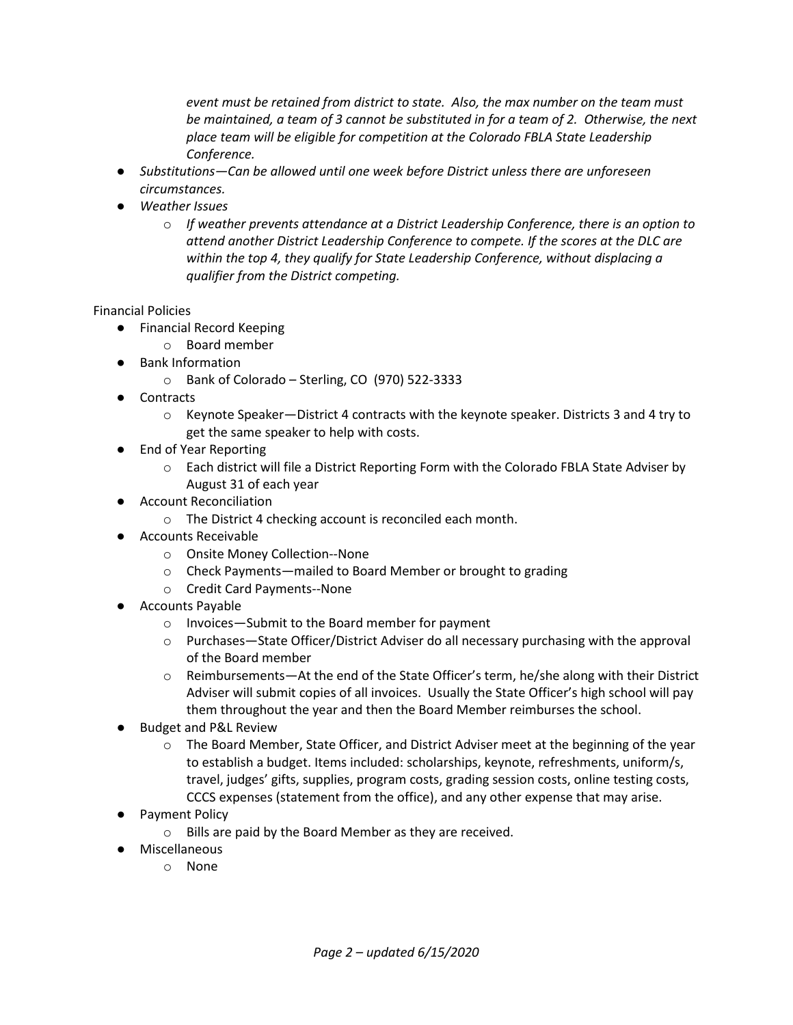*event must be retained from district to state. Also, the max number on the team must be maintained, a team of 3 cannot be substituted in for a team of 2. Otherwise, the next place team will be eligible for competition at the Colorado FBLA State Leadership Conference.*

- *Substitutions—Can be allowed until one week before District unless there are unforeseen circumstances.*
- *Weather Issues*
	- o *If weather prevents attendance at a District Leadership Conference, there is an option to attend another District Leadership Conference to compete. If the scores at the DLC are within the top 4, they qualify for State Leadership Conference, without displacing a qualifier from the District competing.*

## Financial Policies

- Financial Record Keeping
	- o Board member
- Bank Information
	- o Bank of Colorado Sterling, CO (970) 522-3333
- Contracts
	- o Keynote Speaker—District 4 contracts with the keynote speaker. Districts 3 and 4 try to get the same speaker to help with costs.
- End of Year Reporting
	- o Each district will file a District Reporting Form with the Colorado FBLA State Adviser by August 31 of each year
- Account Reconciliation
	- o The District 4 checking account is reconciled each month.
- Accounts Receivable
	- o Onsite Money Collection--None
	- o Check Payments—mailed to Board Member or brought to grading
	- o Credit Card Payments--None
- Accounts Payable
	- o Invoices—Submit to the Board member for payment
	- o Purchases—State Officer/District Adviser do all necessary purchasing with the approval of the Board member
	- o Reimbursements—At the end of the State Officer's term, he/she along with their District Adviser will submit copies of all invoices. Usually the State Officer's high school will pay them throughout the year and then the Board Member reimburses the school.
- **Budget and P&L Review** 
	- o The Board Member, State Officer, and District Adviser meet at the beginning of the year to establish a budget. Items included: scholarships, keynote, refreshments, uniform/s, travel, judges' gifts, supplies, program costs, grading session costs, online testing costs, CCCS expenses (statement from the office), and any other expense that may arise.
- Payment Policy
	- o Bills are paid by the Board Member as they are received.
- Miscellaneous
	- o None